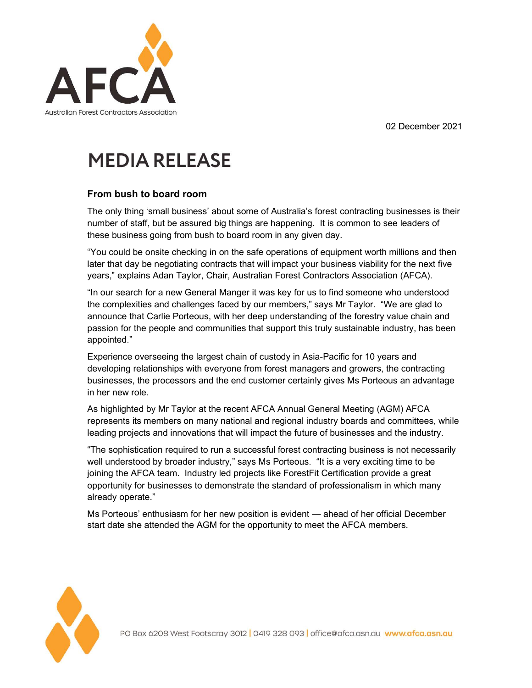02 December 2021



## **MEDIA RELEASE**

## From bush to board room

The only thing 'small business' about some of Australia's forest contracting businesses is their number of staff, but be assured big things are happening. It is common to see leaders of these business going from bush to board room in any given day.

"You could be onsite checking in on the safe operations of equipment worth millions and then later that day be negotiating contracts that will impact your business viability for the next five years," explains Adan Taylor, Chair, Australian Forest Contractors Association (AFCA).

"In our search for a new General Manger it was key for us to find someone who understood the complexities and challenges faced by our members," says Mr Taylor. "We are glad to announce that Carlie Porteous, with her deep understanding of the forestry value chain and passion for the people and communities that support this truly sustainable industry, has been appointed."

Experience overseeing the largest chain of custody in Asia-Pacific for 10 years and developing relationships with everyone from forest managers and growers, the contracting businesses, the processors and the end customer certainly gives Ms Porteous an advantage in her new role.

As highlighted by Mr Taylor at the recent AFCA Annual General Meeting (AGM) AFCA represents its members on many national and regional industry boards and committees, while leading projects and innovations that will impact the future of businesses and the industry.

"The sophistication required to run a successful forest contracting business is not necessarily well understood by broader industry," says Ms Porteous. "It is a very exciting time to be joining the AFCA team. Industry led projects like ForestFit Certification provide a great opportunity for businesses to demonstrate the standard of professionalism in which many already operate."

Ms Porteous' enthusiasm for her new position is evident — ahead of her official December start date she attended the AGM for the opportunity to meet the AFCA members.